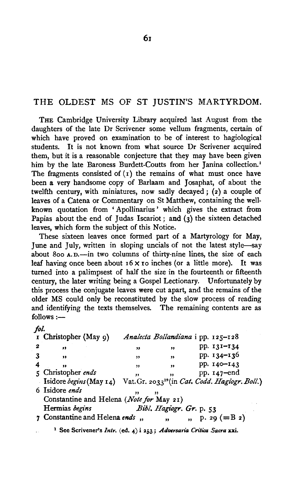## THE OLDEST MS OF ST JUSTIN'S MARTYRDOM.

THE Cambridge University Library acquired last August from the daughters of the late Dr Scrivener some vellum fragments, certain of which have proved on examination to be of interest to hagiological students. It is not known from what source Dr Scrivener acquired them, but it is a reasonable conjecture that they may have been given him by the late Baroness Burdett-Coutts from her Janina collection.<sup>1</sup> The fragments consisted of  $(1)$  the remains of what must once have been a very handsome copy of Barlaam and Josaphat, of about the twelfth century, with miniatures, now sadly decayed; (2) a couple of leaves of a Catena or Commentary on St Matthew, containing the wellknown quotation from ' Apollinarius ' which gives the extract from Papias about the end of Judas Iscariot; and  $(3)$  the sixteen detached leaves, which form the subject of this Notice.

These sixteen leaves once formed part of a Martyrology for May, June and July, written in sloping uncials of not the latest style-say about 800 A.D.-in two columns of thirty-nine lines, the size of each leaf having once been about  $16 \times$  ro inches (or a little more). It was turned into a palimpsest of half the size in the fourteenth or fifteenth century, the later writing being a Gospel Lectionary. Unfortunately by this process the conjugate leaves were cut apart, and the remains of the older MS could only be reconstituted by the slow process of reading and identifying the texts themselves. The remaining contents are as  $follows:$   $-$ 

*jot.* 

|   | I Christopher (May 9)                    |              |                          | Analecta Bollandiana i pp. 125-128                         |  |  |  |
|---|------------------------------------------|--------------|--------------------------|------------------------------------------------------------|--|--|--|
| 2 | ,,                                       | $^{\bullet}$ | ,,                       | pp. 131-134                                                |  |  |  |
|   | $^{\bullet}$                             | ,,           | $, \,$                   | pp. 134-136                                                |  |  |  |
|   | ,,                                       | ,,           | $^{\bullet}$             | pp. 140-143                                                |  |  |  |
|   | 5 Christopher ends                       | ,,           | ,,                       | pp. 147-end                                                |  |  |  |
|   | Isidore begins (May 14)                  |              |                          | Vat. Gr. 2033 <sup>19</sup> (in Cat. Codd. Hagiogr. Boll.) |  |  |  |
|   | 6 Isidore ends                           | $\cdot$      | ,,                       |                                                            |  |  |  |
|   | Constantine and Helena (Note for May 21) |              |                          |                                                            |  |  |  |
|   | Hermias begins                           |              | Bibl. Hagiogr. Gr. p. 53 |                                                            |  |  |  |
|   | 7 Constantine and Helena ends,           |              | $\mathbf{H}$             | $p. 29 (=B2)$                                              |  |  |  |

<sup>1</sup> See Scrivener's *Intr.* (ed. 4) i 253; *Adversaria Critica Sacra* xxi.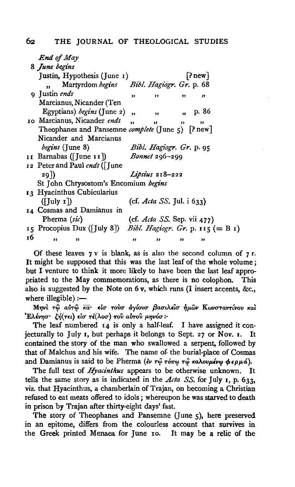|    | <b>End of May</b>                                             |                      |                                    |              |                         |  |
|----|---------------------------------------------------------------|----------------------|------------------------------------|--------------|-------------------------|--|
|    | 8 June begins                                                 |                      |                                    |              |                         |  |
|    | Justin, Hypothesis (June $\mathbf{r}$ )                       |                      |                                    |              | $\lceil$ ? new $\rceil$ |  |
|    | Martyrdom begins Bibl. Hagiogr. Gr. p. 68                     |                      |                                    |              |                         |  |
|    | 9 Justin ends                                                 | ,,                   | ,,                                 | ,,           | "                       |  |
|    | Marcianus, Nicander (Ten                                      |                      |                                    |              |                         |  |
|    | Egyptians) begins (June 2)                                    | $\ddot{\mathbf{v}}$  | $\overline{\mathbf{v}}$            | ", p. 86     |                         |  |
|    | 10 Marcianus, Nicander ends                                   | $\ddot{\phantom{0}}$ | 33                                 | $^{\bullet}$ | ,                       |  |
|    | Theophanes and Pansemne complete (June 5) [? new]             |                      |                                    |              |                         |  |
|    | Nicander and Marcianus                                        |                      |                                    |              |                         |  |
|    | $beginmathcal{E}$ (June 8)<br><i>Bibl. Hagiogr. Gr.</i> p. 95 |                      |                                    |              |                         |  |
|    | II Barnabas ([June II]) Bonnet 296-299                        |                      |                                    |              |                         |  |
|    | 12 Peter and Paul ends (June                                  |                      |                                    |              |                         |  |
|    | 29 I)                                                         |                      | Lipsius 218-222                    |              |                         |  |
|    | St John Chrysostom's Encomium begins                          |                      |                                    |              |                         |  |
|    | 13 Hyacinthus Cubicularius                                    |                      |                                    |              |                         |  |
|    | $(I_{\text{July}} I)$                                         |                      | (cf. Acta SS. Jul. i 633)          |              |                         |  |
|    | 14 Cosmas and Damianus in                                     |                      |                                    |              |                         |  |
|    | Pherma (sic)                                                  |                      | (cf. <i>Acta SS.</i> Sep. vii 477) |              |                         |  |
|    | 15 Procopius Dux ([July 8]) Bibl. Hagiogr. Gr. p. 115 (= B 1) |                      |                                    |              |                         |  |
| 16 | ,,<br>,,                                                      | "                    | ,,                                 | ,,           | ,,                      |  |

Of these leaves  $7v$  is blank, as is also the second column of  $7r$ . It might be supposed that this was the last leaf of the whole volume; but I venture to think it more likely to have been the last leaf appropriated to the May commemorations, as there is no colophon. This also is suggested by the Note on  $6v$ , which runs (I insert accents, &c., where illegible) :-

Μηνί τω αύτω και είσ τούσ άγίουσ βασιλείσ ήμων Κωνσταντίνου καί Έλένησ· ζή(τει) είσ τέ(λοσ) του αύτου μηνόσ:

The leaf numbered 14 is only a half-leaf. I have assigned it coniecturally to July 1, but perhaps it belongs to Sept. 27 or Nov. 1. It contained the story of the man who swallowed a serpent, followed by that of Malchus and his wife. The name of the burial-place of Cosmas and Damianus is said to be Pherma (ev  $\tau\hat{\varphi}$   $\tau\hat{\varphi}\tau\hat{\varphi}$  καλουμένω φερμά).

The full text of *Hyacinthus* appears to be otherwise unknown. It tells the same story as is indicated in the Acta SS. for July 1, p. 633, viz. that Hyacinthus, a chamberlain of Trajan, on becoming a Christian refused to eat meats offered to idols; whereupon he was starved to death in prison by Trajan after thirty-eight days' fast.

The story of Theophanes and Pansemne (June 5), here preserved in an epitome, differs from the colourless account that survives in the Greek printed Menaea for June 10. It may be a relic of the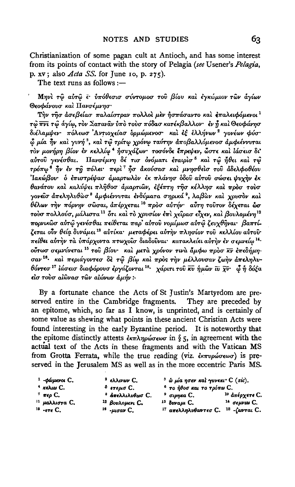Christianization of some pagan cult at Antioch, and has some interest from its points of contact with the story of Pelagia (see Usener's Pelagia, p. xv; also  $Acta$  SS. for June 10, p. 275).

The text runs as follows :-

Μηνί τω αύτω ε υπόθεσισ σύντομοσ του βίου και εγκώμιον των άγίων Θεοφάνουσ και Πανσέμνησ·

Την τησ άσεβείασ παλαίστραν πολλοί μεν ήσπάσαντο και επαλειφόμενοι<sup>1</sup> τω πνι τω άγίω, τον Σαταναν ύπο τουσ πόδασ κατέκβαλλον· έν ή και Θεοφάνησ διέλαμψεν πόλεωσ Αντιοχείασ δρμώμενοσ και έξ έλλήνων<sup>2</sup> γονέων φύσ ώ μία ήν και γυνή<sup>3</sup>, και τω τρίτω χρόνω ταύτην αποβαλλόμενοσ αμφιέννυται τον μονήρη βίον έν κελλίω <sup>4</sup> ήσυχάζων· τοσόνδε έπρεψεν, ώστε και ιάσεισ δι' αύτου γενέσθαι. Πανσέμνη δέ τισ ονόματι έταιρισ<sup>5</sup> και τω ήθει και τω τρόπω<sup>ε</sup> ήν έν τη πόλει· περί<sup>τ</sup> ήσ ακούσασ και μνησθείσ του αδελφοθέου Ίακώβου· ο επιστρέψασ αμαρτωλον εκ πλάνησ οδου αύτου σώσει ψυχήν εκ θανάτου και καλύψει πληθοσ άμαρτιων, εξέπτη τησ κέλλησ και προσ τουσ γονεΐσ ἀπεληλυθὼσ<sup>8</sup> ἀμφιέννυται ἐνδύματα σηρικά<sup>θ</sup>, λαβὼν καὶ γρυσὸν καὶ .<br>θέλων τὴν πόρνην σῶσαι, ἀπέρχεται <sup>10</sup> πρὸσ αὐτήν· αὖτη τοῦτον δέχεται ὧσ τούσ πολλούσ, μάλιστα<sup>11</sup> ότι και το χρυσίον έπι χείρασ είχεν, και βουλομένη<sup>12</sup> πορνικῶσ αὐτῷ γενέσθαι πείθεται παρ' αὐτοῦ νομίμωσ αὐτῷ ζευχθῆναι· βαπτίζεται οὖν θεία δυνάμει <sup>18</sup> αὐτίκα· μεταφέρει αὐτὴν πλησίον τοῦ κελλίου αὐτοῦ· πείθει αύτην τα υπάρχοντα πτωχοίσ διαδούναι· κατακλείει αύτην έν σεμνείω 14. ούτωσ σεμνύνεται <sup>15</sup> του βίου· και μετα χρόνον τινα άμφω προσ κν επεδήμησαν<sup>16</sup>· και περιάγοντεσ δε τω βίω και προς την μέλλουσαν ζωην απεληλυθόντεσ<sup>17</sup> ιάσεισ διαφόρουσ έργάζονται <sup>18</sup> χάριτι του κυ ήμων τυ χυ ω ή δόξα είσ τουσ αίῶνασ τῶν αίώνων ἀμήν:-

By a fortunate chance the Acts of St Justin's Martyrdom are preserved entire in the Cambridge fragments. They are preceded by an epitome, which, so far as I know, is unprinted, and is certainly of some value as shewing what points in these ancient Christian Acts were found interesting in the early Byzantine period. It is noteworthy that the epitome distinctly attests  $\epsilon \kappa \pi \lambda \eta \rho \omega \sigma \epsilon \omega \sigma$  in § 5, in agreement with the actual text of the Acts in these fragments and with the Vatican MS from Grotta Ferrata, while the true reading (viz. εκπυρώσεωσ) is preserved in the Jerusalem MS as well as in the more eccentric Paris MS.

| $1 - φ$ ώμενοι $C$ .              | <sup>2</sup> ελλινων $C$ .  |                              | <sup>3</sup> ω μία ησεν και γυνεκι C (sic). |
|-----------------------------------|-----------------------------|------------------------------|---------------------------------------------|
| $4$ κελιω $C$ .                   | <sup>δ</sup> ετερισ C.      | $^6$ το ήθοσ και το τρόπω C. |                                             |
| $7 \text{ rep } C.$               | <sup>8</sup> άπελλιλυθωσ C. | <sup>9</sup> σιρηκα C.       | <sup>10</sup> απέρχετε C.                   |
| $^{\text{II}}$ μαλλιστα C.        | <sup>12</sup> Βουλομενι C.  | $13$ $\delta$ vva $\mu$ C.   | <sup>14</sup> σεμνιω C.                     |
| $15 - \epsilon \tau \epsilon C$ . | $16$ - $\mu$ gav C,         | 17 απελληλυθαντεσ C.         | $18$ - $\zeta$ antai C.                     |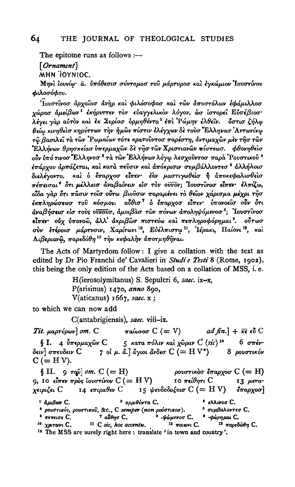The epitome runs as follows  $:$   $-$ 

 $[Ornament]$ 

MHN TOYNIOC.

Μηνί ιουνίω· α. υπόθεσισ σύντομοσ του μάρτυροσ και εγκώμιον Ιουστίνου φιλοσόφου.

Ίουστίνοσ άρχαΐοσ άνηρ και φιλόσοφοσ και των άποστόλων εφάμιλλοσ χώρασ άμείβων<sup>1</sup> έκήρυττεν τον εύαγγελικον λόγον, ώσ ίστορεί Εύσέβιοσ· λέγει γαρ αύτον και εκ Συρίασ δρμηθέντα<sup>2</sup> επι Ρώμην ελθεῖν. "δστισ ζήλφ θείω κινηθείσ κηρύττων την ήμων πίστιν ελέγχων δε τουσ "Ελληνασ' Αντωνίνω τῶ βασιλεῖ τὰ τῶν 'Ρωμαίων τότε κρατοῢντοσ παρέστη, ἀντιμαχῶν μὲν τῆσ τῶν Έλλήνων θρησκείασ υπερμαχών δε τησ των Χριστιανών πίστεωσ. φθονηθείσ οὖν ὑπό τινοσ Έλληνοσ <sup>3</sup> τὰ τῶν Ἑλλήνων λόγφ λεσχοῦντοσ παρὰ Ῥουστικοῦ <sup>4</sup> έπάρχου άρπάζεται, καὶ κατὰ πεῦσιν καὶ ἀπόκρισιν συμβάλλοντεσ <sup>δ</sup> ἀλλήλοισ διελέγοντο. και ο έπαρχοσ είπεν· έαν μαστιγωθείσ ή αποκεφαλισθείσ πέπεισαι<sup>6</sup> ότι μέλλεισ αναβαίνειν είσ τον ουνον; Ιουστίνοσ είπεν· έλπίζω, οίδα γαρ δτι πασιν τοίσ ούτω βιούσιν παραμένει το θείον χάρισμα μέχρι τησ έκπληρώσεωσ του κόσμου. αύθισ<sup>η</sup> ο έπαρχοσ είπεν υπονοείσ ούν ότι άναβήσεισ είσ τους ούνουσ, άμοιβασ των πόνων άποληψόμενοσ<sup>8</sup>; 'Ιουστίνοσ είπεν ούχ ύπονοω, άλλ' άκριβωσ πιστεύω και πεπληροφόρημαι<sup>9</sup>. ούτωσ σύν ετέροισ μάρτυσιν, Χαρίτωνι<sup>10</sup>, Εύέλπιστω<sup>11</sup>, Ίέρακι, Παίονι<sup>12</sup>, καί Λιβεριανώ, παρεδόθη<sup>13</sup> την κεφαλήν άποτμηθήναι.

The Acts of Martyrdom follow: I give a collation with the text as edited by Dr Pio Franchi de' Cavalieri in Studi e Testi 8 (Rome, 1902), this being the only edition of the Acts based on a collation of MSS, i. e.

> H(ierosolymitanus) S. Sepulcri 6, saec. ix-x, P(arisinus) 1470, anno 890, V(aticanus) 1667, saec. x;

to which we can now add

C(antabrigiensis), saec. viii-ix.

Tit.  $\mu$ aprúpwr] om. C  $π$ αίωνοσ  $C (= V)$ ad fin.]  $+ \bar{\kappa} \epsilon \vec{v} C$ § Ι. 4  $\dot{v}$ περμαχών C 5 κατα πόλιν και χώραν C (sic)<sup>14</sup>  $6 \sigma\pi\epsilon\nu$ 7 οἱ μ. ἄ.] ἄγιοι ἄνδεσ  $C$   $(= H V^*)$  8 ρουστικόν δειν] σπευδειν C  $C (= H V).$ 

 $\S$  II. 9  $\tau$ que  $\omega$  *om.*  $C (= H)$ ρουστικόσ έπαρχοσ  $C (= H)$ 9, 10 είπεν προς ϊουστίνον  $C$  (= HV) 10 πείθητι C 13 дета-15 ψευδοδοξοισ C (= H V) χειριζει  ${\mathsf C}$ 14 επιραθεν  $C$ έπαρχοσ]

 $1$   $d\mu$ Bow C. <sup>2</sup> ορμιθέντα C.  $3$  ελλινοσ C. <sup>4</sup> ρουστικόs, ρουστικού, &c., C semper (non ρούστικοσ). <sup>5</sup> συμβαλοντεσ C.  $6\,$  πεπεισε  $C$ .  $-$ φώρημαι C. <sup>7</sup> αύθησ C. <sup>8</sup> -ψώμενοσ C. <sup>11</sup> C sic, hoc accentu. <sup>10</sup> χριτωνι C.  $12$  παιωνι C. 13 παρεδώθη C.

<sup>14</sup> The MSS are surely right here: translate 'in town and country'.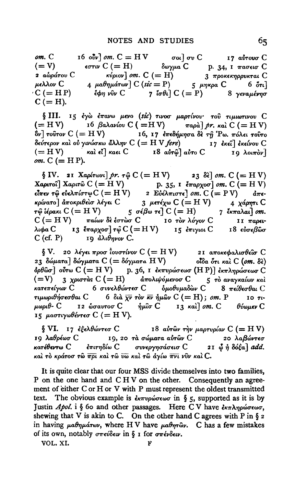$om. C$ 16  $\partial \overline{\partial} v$   $\partial m$ .  $C = H V$   $\qquad \qquad \sigma \omega$   $\partial \sigma v$   $C$   $\qquad \qquad$  17  $\alpha \overline{\partial} \sigma \omega \sigma$   $C$ δωγμα  $C$  β. 34, 1 πασεισ  $C$  $(=V)$  $\epsilon \sigma \tau \alpha \mathcal{C} (= H)$  $\chi$   $\chi$ <sup>2</sup> $\chi$ <sup>2</sup> $\chi$ <sup>2</sup> $\chi$ <sup>2</sup> $\chi$ <sup>2</sup> $\chi$ <sup>2</sup> $\chi$ <sup>2</sup> $\chi$ <sup>2</sup> $\chi$ <sup>2</sup> $\chi$ <sup>2</sup> $\chi$ <sup>2</sup> $\chi$ <sup>2</sup> $\chi$ <sup>2</sup> $\chi$ <sup>2</sup> $\chi$ <sup>2</sup> $\chi$ <sup>2</sup> $\chi$ <sup>2</sup> $\chi$ <sup>2</sup> $\chi$ <sup>2</sup> $\chi$ <sup>2</sup> $\chi$ <sup>2</sup> $\chi$ <sup>2</sup> $\chi$ <sup>2</sup> $\chi$ <sup>2</sup> $\chi$ <sup>2</sup> $\chi$ <sup>2</sup> $\chi$ <sup>2</sup> $\chi$ <sup>2</sup> $\chi$ <sup>2</sup> $\chi$ <sup>2</sup> $\chi$ <sup>2</sup> 2 αφράτου C  $3\,$  προκεκηρρυκται  $C$ 4 μαθημάτων] C (sic = P) 5 μηκρα C 6  $\delta \tau \tau$ ] μελλον C έφη νύν  $C$  7 ίσθι  $C$  (= P) 8 γεναμένησ  $C (= HP)$  $C (= H).$ 

§ III. 15 έγω έπανω μενο (sic) τινοσ μαρτίνου· του τιμιωτινου C (= HV) 16 βαλανίου C (= HV) παρά] pr. και C (= HV)  $\delta$ ν] τούτον C (= HV) 16, 17 επεδήμησα δε τη Ρω. πόλει τούτο δεύτερον και ού γινώσκω άλλην  $C$  (= H V fere) 17 εκεί] εκείνου  $C$ και εί] καει  $C$  18 αύτ $\widehat{\omega}$ ] αύτο  $C$  $(=HV)$  $19 \lambda outrow$  $om. C (= H P).$ 

 $\S$  IV. 21 Χαρίτωνι] pr. τ $\hat{\varphi}$  C (= H V) 23 δε] om. C (= H V) Xαριτοί] Χαριτώ C (= H V) p. 35, 1  $\ell$ παρχοσ] om. C (= H V)<br>
είπεν τῷ εὐελπίστψ C (= H V) 2 Εὐέλπιστε] om. C (= P V)  $\delta$ πεκρίνατο | άποκριθείσ λέγει C 3 μετέχω C (= H V) 4 χάρητι C  $\tau$ φ ίέρακι C (= HV) 5 σέβω τε] C (= H) 7 έκπαλαι] om.  $C (= H V)$  παίων δε έστωσ C 10 τον λόγον C  $II$   $\pi$ apetλιφα C 13 έπαρχοσ] τῷ C (= HV) 15 έπιγιοι C 18 εὐσεβῶσ το άλιθηνον C.  $C$  (cf. P)

 $\S V.$  20 λέγει προσ Γουστίνον C (= HV) 21 αποκεφαλισθείσ C 23 δώματα] δώγματα C (= δόγματα HV) οΐδα ότι και C (om. δε) όρθωσ] ούτω  $C (= H V)$  p. 36, 1 εκπυρώσεωσ (HP)] εκπληρώσεωσ C  $(=V)$  3 χριστάς C (= H) απολυψόμενοσ C 5 το αναγκαίων και κατεπείγων C 6 συνελθώντεσ C δμοθυμαδών C 8 πείθεσθαι C τιμωριθήσεσθαι C 6 διά  $\bar{\chi}$ ν τον κνήμων C (= H); om. P 10 τιμωριθ- C 12 ώσαυτοσ C  $\hat{\eta}$ μίσ C 13 και ] om. C  $θ$ ύωμεν  $C$ 15 μαστιγωθέντεσ C (= H V).

§ VI. 17 εξελθώντεσ C 18 αύτων την μαρτυρίαν C (= HV) 19 λαθρέωσ C (19, 20 τα σώματα αύτων C 20 λαβώντεσ κατέθεντω C επιτηδίω C συνεργησάσεισ C 21 ψ ή δόξα add. και το κράτοσ τω πρι και τω υω και τω άγίω πνι νύν και C.

It is quite clear that our four MSS divide themselves into two families, P on the one hand and CHV on the other. Consequently an agreement of either C or H or V with P must represent the oldest transmitted text. The obvious example is  $\epsilon_{k\pi\nu\rho\omega\sigma\epsilon\omega\sigma}$  in § 5, supported as it is by Justin Apol. i § 60 and other passages. Here CV have  $\epsilon_{\kappa\pi\lambda\eta\rho\omega\sigma\epsilon\omega\sigma}$ . shewing that V is akin to C. On the other hand C agrees with P in  $\S$  2 in having  $\mu a \theta \eta \mu a \tau \omega \nu$ , where HV have  $\mu a \theta \eta \tau \omega \nu$ . C has a few mistakes of its own, notably  $\sigma\pi\epsilon\omega\delta\epsilon\omega$  in § 1 for  $\sigma\pi\epsilon\nu\delta\epsilon\omega$ .

VOL. XI.